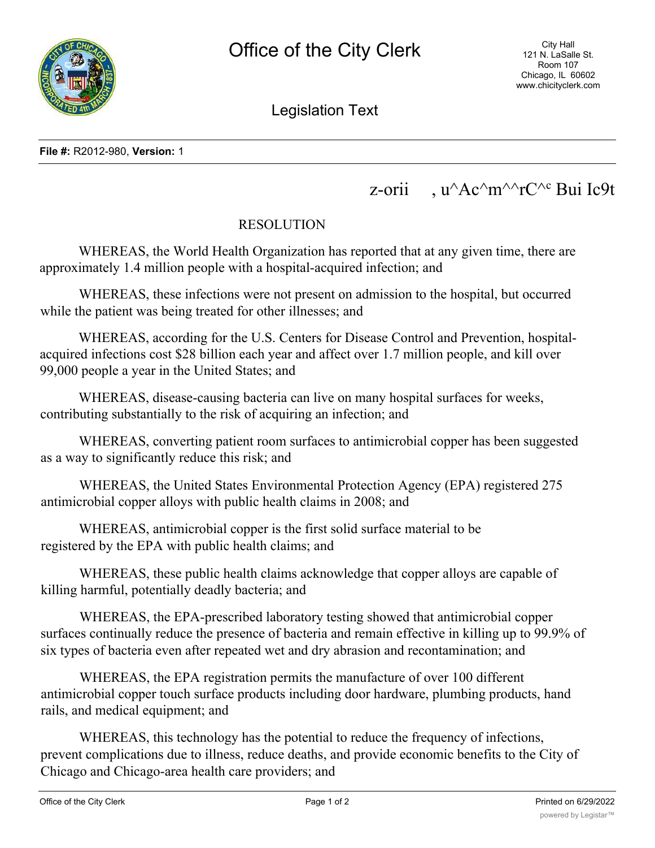

Legislation Text

## z-orii , u^Ac^m^^rC^<sup>c</sup> Bui Ic9t

## RESOLUTION

WHEREAS, the World Health Organization has reported that at any given time, there are approximately 1.4 million people with a hospital-acquired infection; and

WHEREAS, these infections were not present on admission to the hospital, but occurred while the patient was being treated for other illnesses; and

WHEREAS, according for the U.S. Centers for Disease Control and Prevention, hospitalacquired infections cost \$28 billion each year and affect over 1.7 million people, and kill over 99,000 people a year in the United States; and

WHEREAS, disease-causing bacteria can live on many hospital surfaces for weeks, contributing substantially to the risk of acquiring an infection; and

WHEREAS, converting patient room surfaces to antimicrobial copper has been suggested as a way to significantly reduce this risk; and

WHEREAS, the United States Environmental Protection Agency (EPA) registered 275 antimicrobial copper alloys with public health claims in 2008; and

WHEREAS, antimicrobial copper is the first solid surface material to be registered by the EPA with public health claims; and

WHEREAS, these public health claims acknowledge that copper alloys are capable of killing harmful, potentially deadly bacteria; and

WHEREAS, the EPA-prescribed laboratory testing showed that antimicrobial copper surfaces continually reduce the presence of bacteria and remain effective in killing up to 99.9% of six types of bacteria even after repeated wet and dry abrasion and recontamination; and

WHEREAS, the EPA registration permits the manufacture of over 100 different antimicrobial copper touch surface products including door hardware, plumbing products, hand rails, and medical equipment; and

WHEREAS, this technology has the potential to reduce the frequency of infections, prevent complications due to illness, reduce deaths, and provide economic benefits to the City of Chicago and Chicago-area health care providers; and